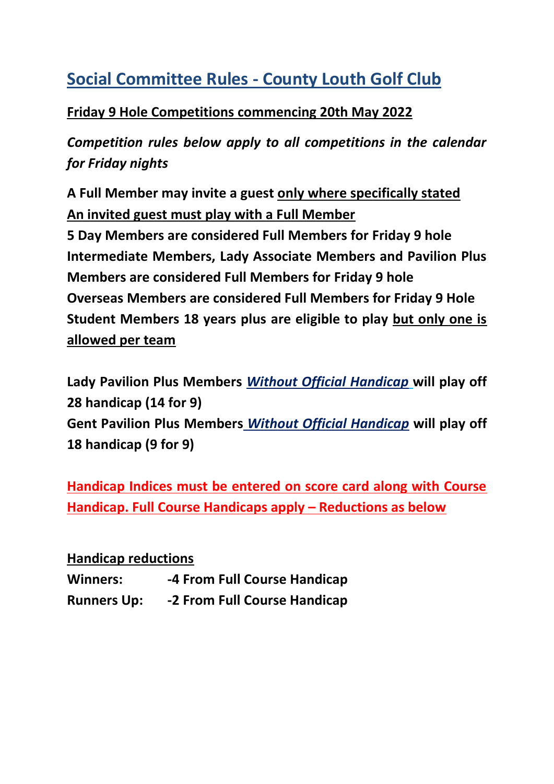# **Social Committee Rules - County Louth Golf Club**

## **Friday 9 Hole Competitions commencing 20th May 2022**

*Competition rules below apply to all competitions in the calendar for Friday nights*

**A Full Member may invite a guest only where specifically stated An invited guest must play with a Full Member**

**5 Day Members are considered Full Members for Friday 9 hole Intermediate Members, Lady Associate Members and Pavilion Plus Members are considered Full Members for Friday 9 hole Overseas Members are considered Full Members for Friday 9 Hole Student Members 18 years plus are eligible to play but only one is allowed per team**

**Lady Pavilion Plus Members** *Without Official Handicap* **will play off 28 handicap (14 for 9) Gent Pavilion Plus Members** *Without Official Handicap* **will play off 18 handicap (9 for 9)**

**Handicap Indices must be entered on score card along with Course Handicap. Full Course Handicaps apply – Reductions as below**

#### **Handicap reductions**

**Winners: -4 From Full Course Handicap Runners Up: -2 From Full Course Handicap**